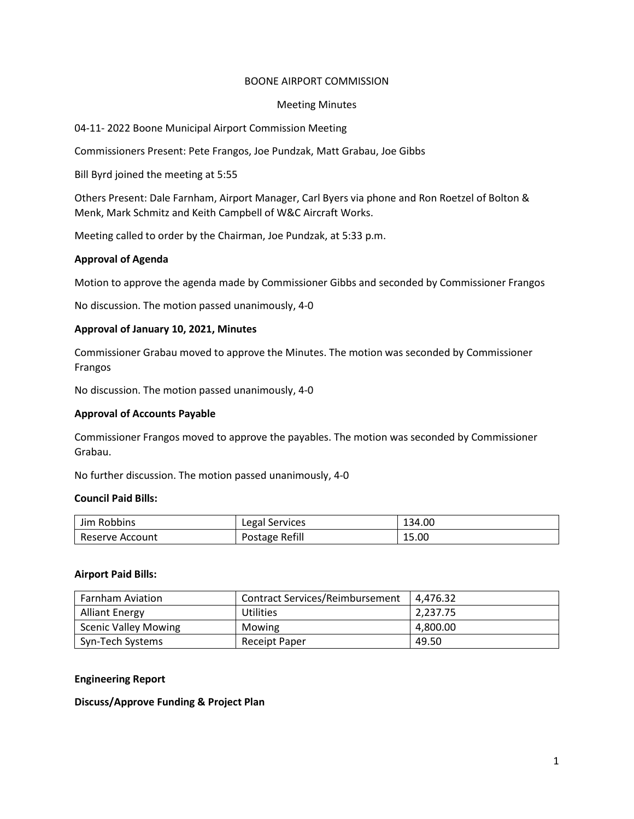# BOONE AIRPORT COMMISSION

## Meeting Minutes

# 04-11- 2022 Boone Municipal Airport Commission Meeting

Commissioners Present: Pete Frangos, Joe Pundzak, Matt Grabau, Joe Gibbs

Bill Byrd joined the meeting at 5:55

Others Present: Dale Farnham, Airport Manager, Carl Byers via phone and Ron Roetzel of Bolton & Menk, Mark Schmitz and Keith Campbell of W&C Aircraft Works.

Meeting called to order by the Chairman, Joe Pundzak, at 5:33 p.m.

# **Approval of Agenda**

Motion to approve the agenda made by Commissioner Gibbs and seconded by Commissioner Frangos

No discussion. The motion passed unanimously, 4-0

# **Approval of January 10, 2021, Minutes**

Commissioner Grabau moved to approve the Minutes. The motion was seconded by Commissioner Frangos

No discussion. The motion passed unanimously, 4-0

## **Approval of Accounts Payable**

Commissioner Frangos moved to approve the payables. The motion was seconded by Commissioner Grabau.

No further discussion. The motion passed unanimously, 4-0

# **Council Paid Bills:**

| Jim Robbins     | Legal Services | 134.00 |
|-----------------|----------------|--------|
| Reserve Account | Postage Refill | 15.00  |

## **Airport Paid Bills:**

| <b>Farnham Aviation</b>     | <b>Contract Services/Reimbursement</b> | 4.476.32 |
|-----------------------------|----------------------------------------|----------|
| <b>Alliant Energy</b>       | Utilities                              | 2.237.75 |
| <b>Scenic Valley Mowing</b> | Mowing                                 | 4.800.00 |
| Syn-Tech Systems            | Receipt Paper                          | 49.50    |

## **Engineering Report**

## **Discuss/Approve Funding & Project Plan**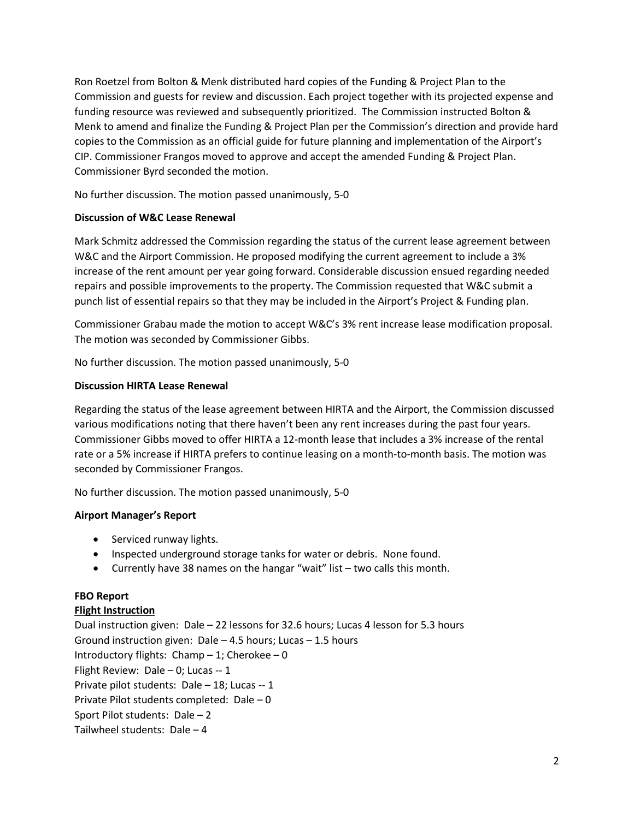Ron Roetzel from Bolton & Menk distributed hard copies of the Funding & Project Plan to the Commission and guests for review and discussion. Each project together with its projected expense and funding resource was reviewed and subsequently prioritized. The Commission instructed Bolton & Menk to amend and finalize the Funding & Project Plan per the Commission's direction and provide hard copies to the Commission as an official guide for future planning and implementation of the Airport's CIP. Commissioner Frangos moved to approve and accept the amended Funding & Project Plan. Commissioner Byrd seconded the motion.

No further discussion. The motion passed unanimously, 5-0

# **Discussion of W&C Lease Renewal**

Mark Schmitz addressed the Commission regarding the status of the current lease agreement between W&C and the Airport Commission. He proposed modifying the current agreement to include a 3% increase of the rent amount per year going forward. Considerable discussion ensued regarding needed repairs and possible improvements to the property. The Commission requested that W&C submit a punch list of essential repairs so that they may be included in the Airport's Project & Funding plan.

Commissioner Grabau made the motion to accept W&C's 3% rent increase lease modification proposal. The motion was seconded by Commissioner Gibbs.

No further discussion. The motion passed unanimously, 5-0

# **Discussion HIRTA Lease Renewal**

Regarding the status of the lease agreement between HIRTA and the Airport, the Commission discussed various modifications noting that there haven't been any rent increases during the past four years. Commissioner Gibbs moved to offer HIRTA a 12-month lease that includes a 3% increase of the rental rate or a 5% increase if HIRTA prefers to continue leasing on a month-to-month basis. The motion was seconded by Commissioner Frangos.

No further discussion. The motion passed unanimously, 5-0

# **Airport Manager's Report**

- Serviced runway lights.
- Inspected underground storage tanks for water or debris. None found.
- Currently have 38 names on the hangar "wait" list two calls this month.

# **FBO Report**

## **Flight Instruction**

Dual instruction given: Dale – 22 lessons for 32.6 hours; Lucas 4 lesson for 5.3 hours Ground instruction given: Dale – 4.5 hours; Lucas – 1.5 hours Introductory flights:  $Champ - 1$ ; Cherokee – 0 Flight Review: Dale – 0; Lucas -- 1 Private pilot students: Dale – 18; Lucas -- 1 Private Pilot students completed: Dale – 0 Sport Pilot students: Dale – 2 Tailwheel students: Dale – 4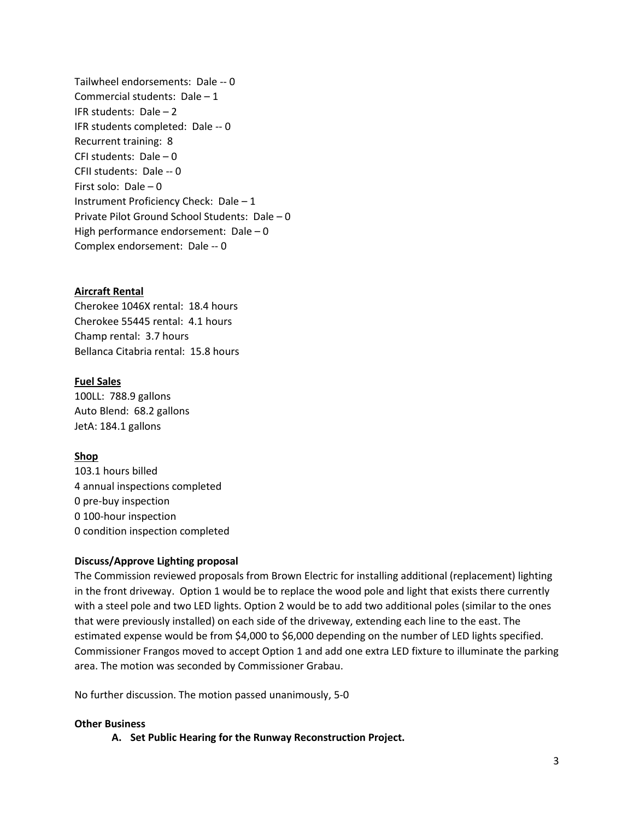Tailwheel endorsements: Dale -- 0 Commercial students: Dale – 1 IFR students: Dale – 2 IFR students completed: Dale -- 0 Recurrent training: 8 CFI students: Dale – 0 CFII students: Dale -- 0 First solo: Dale – 0 Instrument Proficiency Check: Dale – 1 Private Pilot Ground School Students: Dale – 0 High performance endorsement: Dale – 0 Complex endorsement: Dale -- 0

# **Aircraft Rental**

Cherokee 1046X rental: 18.4 hours Cherokee 55445 rental: 4.1 hours Champ rental: 3.7 hours Bellanca Citabria rental: 15.8 hours

# **Fuel Sales**

100LL: 788.9 gallons Auto Blend: 68.2 gallons JetA: 184.1 gallons

## **Shop**

103.1 hours billed 4 annual inspections completed 0 pre-buy inspection 0 100-hour inspection 0 condition inspection completed

## **Discuss/Approve Lighting proposal**

The Commission reviewed proposals from Brown Electric for installing additional (replacement) lighting in the front driveway. Option 1 would be to replace the wood pole and light that exists there currently with a steel pole and two LED lights. Option 2 would be to add two additional poles (similar to the ones that were previously installed) on each side of the driveway, extending each line to the east. The estimated expense would be from \$4,000 to \$6,000 depending on the number of LED lights specified. Commissioner Frangos moved to accept Option 1 and add one extra LED fixture to illuminate the parking area. The motion was seconded by Commissioner Grabau.

No further discussion. The motion passed unanimously, 5-0

## **Other Business**

**A. Set Public Hearing for the Runway Reconstruction Project.**